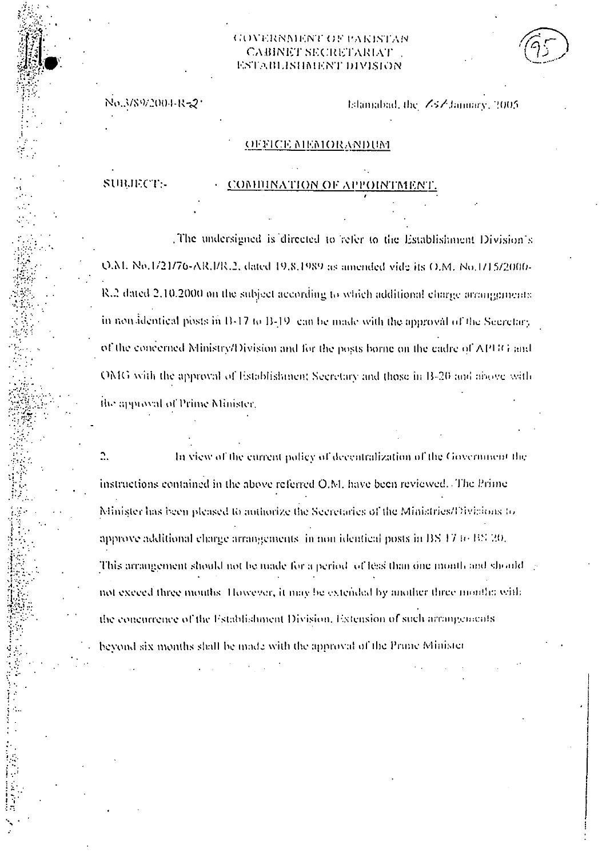## GOVERNMENT OF PAKISTAN **CABINET SECRETARIAT** ESTABLISHMENT DIVISION

No.3/89/2004-R-2\*

Islamabad, the ZsZ Jamuary, 2005.

### OFFICE MEMORANDUM

SUBJECT-

#### COMBINATION OF APPOINTMENT.

The undersigned is directed to refer to the Establishment Division's Q.M. No.1/21/76-AR.I/R.2, dated 19.8.1989 as amended vide its O.M. No.1/15/2000-R.2 dated 2.10.2000 on the subject according to which additional charge arrangements. in non-identical posts in B-17 to B-19 can be made with the approval of the Secretary. of the concerned Ministry/Division and for the posts borne on the cadre of APUG and OMG with the approval of Establishment Secretary and those in B-20 and above with the approval of Prime Minister.

Ω. In view of the current policy of decentralization of the Government the instructions contained in the above referred O.M. have been reviewed. The Prime Minister has been pleased to authorize the Secretaries of the Ministries/Divisions to approve additional charge arrangements (in non-identical posts in BS/F7 to BS/20). This arrangement should not be made for a period of leas than one month and should  $\rightarrow$ not exceed three months. However, it may be extended by another three months with the concurrence of the Establishment Division. Estension of such arrangements beyond six months shall be made with the approval of the Prime Minister